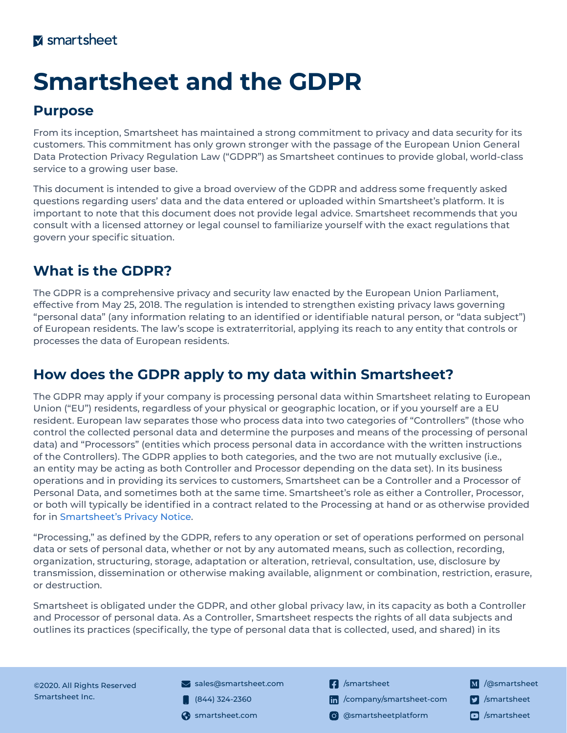# **Smartsheet and the GDPR**

#### **Purpose**

From its inception, Smartsheet has maintained a strong commitment to privacy and data security for its customers. This commitment has only grown stronger with the passage of the European Union General Data Protection Privacy Regulation Law ("GDPR") as Smartsheet continues to provide global, world-class service to a growing user base.

This document is intended to give a broad overview of the GDPR and address some frequently asked questions regarding users' data and the data entered or uploaded within Smartsheet's platform. It is important to note that this document does not provide legal advice. Smartsheet recommends that you consult with a licensed attorney or legal counsel to familiarize yourself with the exact regulations that govern your specific situation.

# **What is the GDPR?**

The GDPR is a comprehensive privacy and security law enacted by the European Union Parliament, effective from May 25, 2018. The regulation is intended to strengthen existing privacy laws governing "personal data" (any information relating to an identified or identifiable natural person, or "data subject") of European residents. The law's scope is extraterritorial, applying its reach to any entity that controls or processes the data of European residents.

# **How does the GDPR apply to my data within Smartsheet?**

The GDPR may apply if your company is processing personal data within Smartsheet relating to European Union ("EU") residents, regardless of your physical or geographic location, or if you yourself are a EU resident. European law separates those who process data into two categories of "Controllers" (those who control the collected personal data and determine the purposes and means of the processing of personal data) and "Processors" (entities which process personal data in accordance with the written instructions of the Controllers). The GDPR applies to both categories, and the two are not mutually exclusive (i.e., an entity may be acting as both Controller and Processor depending on the data set). In its business operations and in providing its services to customers, Smartsheet can be a Controller and a Processor of Personal Data, and sometimes both at the same time. Smartsheet's role as either a Controller, Processor, or both will typically be identified in a contract related to the Processing at hand or as otherwise provided for in [Smartsheet's Privacy Notice](https://www.smartsheet.com/legal/privacy).

"Processing," as defined by the GDPR, refers to any operation or set of operations performed on personal data or sets of personal data, whether or not by any automated means, such as collection, recording, organization, structuring, storage, adaptation or alteration, retrieval, consultation, use, disclosure by transmission, dissemination or otherwise making available, alignment or combination, restriction, erasure, or destruction.

Smartsheet is obligated under the GDPR, and other global privacy law, in its capacity as both a Controller and Processor of personal data. As a Controller, Smartsheet respects the rights of all data subjects and outlines its practices (specifically, the type of personal data that is collected, used, and shared) in its

©2020. All Rights Reserved Smartsheet Inc.

- $\blacktriangleright$  sales[@smartsheet.com](sales@smartsheet.com)
- $(844)$  324-2360
- 
- **1** [/smartsheet](https://www.facebook.com/smartsheet)
- [/company/smartsheet-com](https://www.linkedin.com/company/smartsheet-com/)
- smartsheet.com (o) [@smartsheetplatform](https://www.instagram.com/smartsheetplatform/)
- M /[@smartsheet](https://medium.com/@Smartsheet) **7** [/smartsheet](https://twitter.com/Smartsheet)
-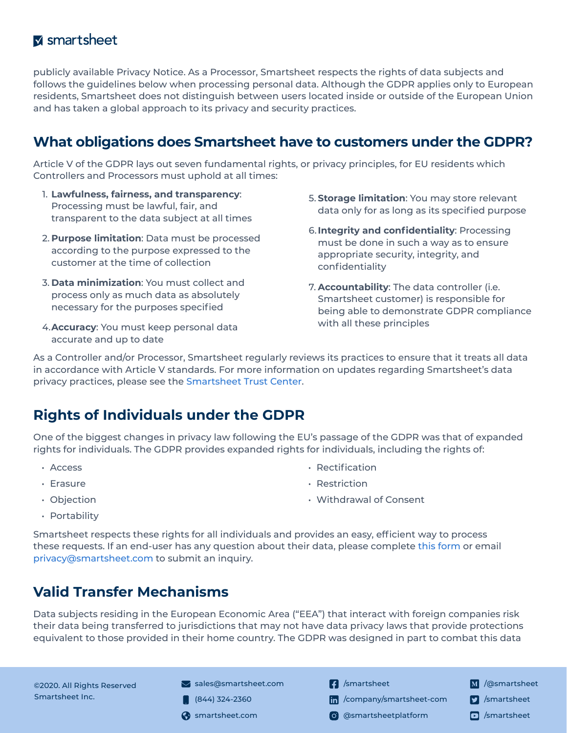#### **M** smartsheet

publicly available Privacy Notice. As a Processor, Smartsheet respects the rights of data subjects and follows the guidelines below when processing personal data. Although the GDPR applies only to European residents, Smartsheet does not distinguish between users located inside or outside of the European Union and has taken a global approach to its privacy and security practices.

#### **What obligations does Smartsheet have to customers under the GDPR?**

Article V of the GDPR lays out seven fundamental rights, or privacy principles, for EU residents which Controllers and Processors must uphold at all times:

- 1. **Lawfulness, fairness, and transparency**: Processing must be lawful, fair, and transparent to the data subject at all times
- 2. **Purpose limitation**: Data must be processed according to the purpose expressed to the customer at the time of collection
- 3. **Data minimization**: You must collect and process only as much data as absolutely necessary for the purposes specified
- 4.**Accuracy**: You must keep personal data accurate and up to date
- 5. **Storage limitation**: You may store relevant data only for as long as its specified purpose
- 6.**Integrity and confidentiality**: Processing must be done in such a way as to ensure appropriate security, integrity, and confidentiality
- 7. **Accountability**: The data controller (i.e. Smartsheet customer) is responsible for being able to demonstrate GDPR compliance with all these principles

As a Controller and/or Processor, Smartsheet regularly reviews its practices to ensure that it treats all data in accordance with Article V standards. For more information on updates regarding Smartsheet's data privacy practices, please see the [Smartsheet Trust Center.](https://www.smartsheet.com/trust/privacy)

## **Rights of Individuals under the GDPR**

One of the biggest changes in privacy law following the EU's passage of the GDPR was that of expanded rights for individuals. The GDPR provides expanded rights for individuals, including the rights of:

- Access
- Erasure

• Rectification

• Objection

• Portability

Smartsheet respects these rights for all individuals and provides an easy, efficient way to process these requests. If an end-user has any question about their data, please complete [this form](https://app.smartsheet.com/b/form/4c8ebaeafb9c445f93d4a43d673b1685) or email [privacy@smartsheet.com](mailto:privacy%40smartsheet.com?subject=Smartsheet%20and%20the%20GDPR) to submit an inquiry.

## **Valid Transfer Mechanisms**

Data subjects residing in the European Economic Area ("EEA") that interact with foreign companies risk their data being transferred to jurisdictions that may not have data privacy laws that provide protections equivalent to those provided in their home country. The GDPR was designed in part to combat this data

©2020. All Rights Reserved Smartsheet Inc.

- $\blacktriangleright$  sales[@smartsheet.com](sales@smartsheet.com)  $(844)$  324-2360
- 
- **[4** [/smartsheet](https://www.facebook.com/smartsheet)
- In [/company/smartsheet-com](https://www.linkedin.com/company/smartsheet-com/)
- smartsheet.com (o) [@smartsheetplatform](https://www.instagram.com/smartsheetplatform/)
- M /[@smartsheet](https://medium.com/@Smartsheet) **7** [/smartsheet](https://twitter.com/Smartsheet)
	-
- 
- Restriction
- Withdrawal of Consent